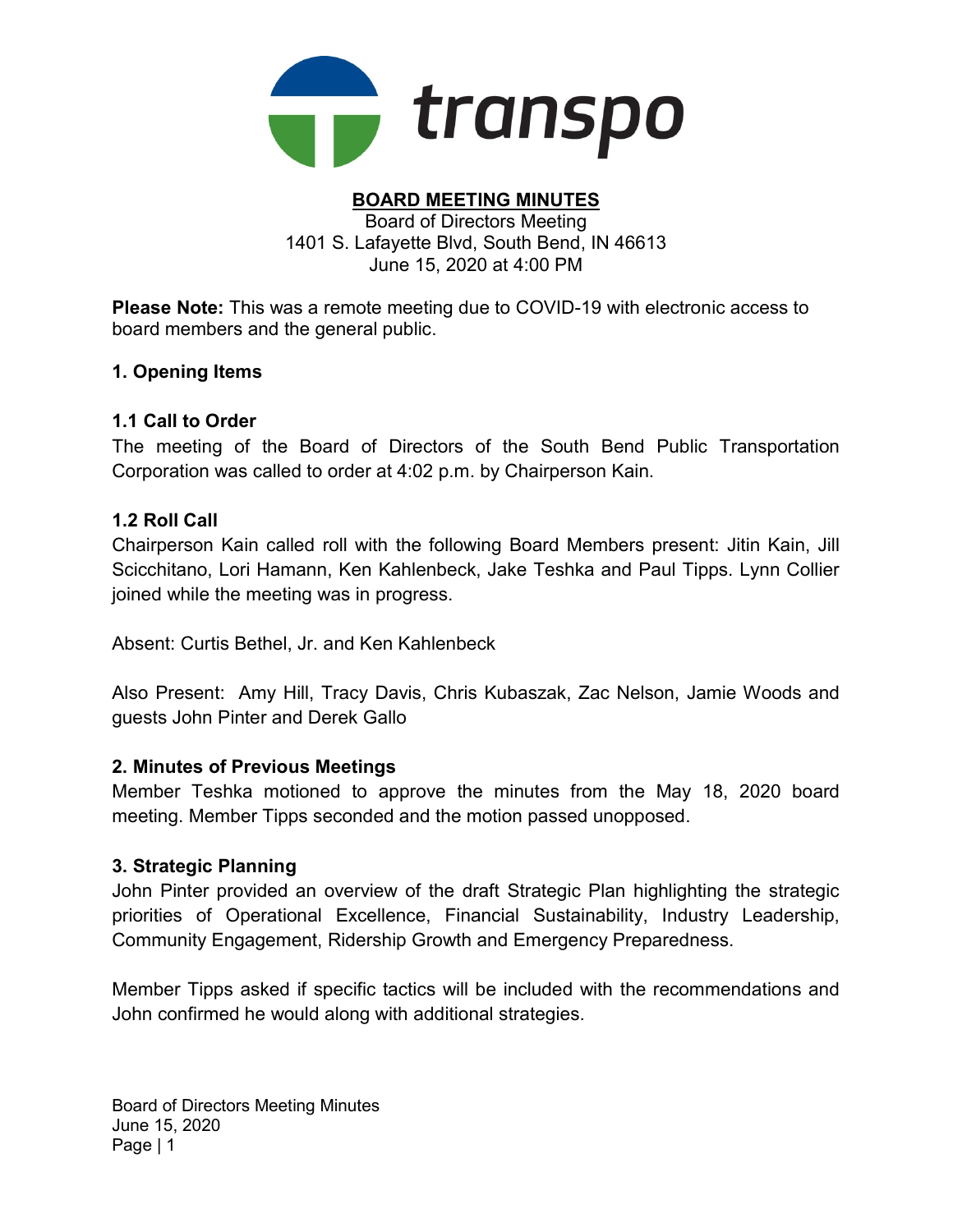

#### BOARD MEETING MINUTES Board of Directors Meeting 1401 S. Lafayette Blvd, South Bend, IN 46613

June 15, 2020 at 4:00 PM

Please Note: This was a remote meeting due to COVID-19 with electronic access to board members and the general public.

# 1. Opening Items

# 1.1 Call to Order

The meeting of the Board of Directors of the South Bend Public Transportation Corporation was called to order at 4:02 p.m. by Chairperson Kain.

# 1.2 Roll Call

Chairperson Kain called roll with the following Board Members present: Jitin Kain, Jill Scicchitano, Lori Hamann, Ken Kahlenbeck, Jake Teshka and Paul Tipps. Lynn Collier joined while the meeting was in progress.

Absent: Curtis Bethel, Jr. and Ken Kahlenbeck

Also Present: Amy Hill, Tracy Davis, Chris Kubaszak, Zac Nelson, Jamie Woods and guests John Pinter and Derek Gallo

# 2. Minutes of Previous Meetings

Member Teshka motioned to approve the minutes from the May 18, 2020 board meeting. Member Tipps seconded and the motion passed unopposed.

# 3. Strategic Planning

John Pinter provided an overview of the draft Strategic Plan highlighting the strategic priorities of Operational Excellence, Financial Sustainability, Industry Leadership, Community Engagement, Ridership Growth and Emergency Preparedness.

Member Tipps asked if specific tactics will be included with the recommendations and John confirmed he would along with additional strategies.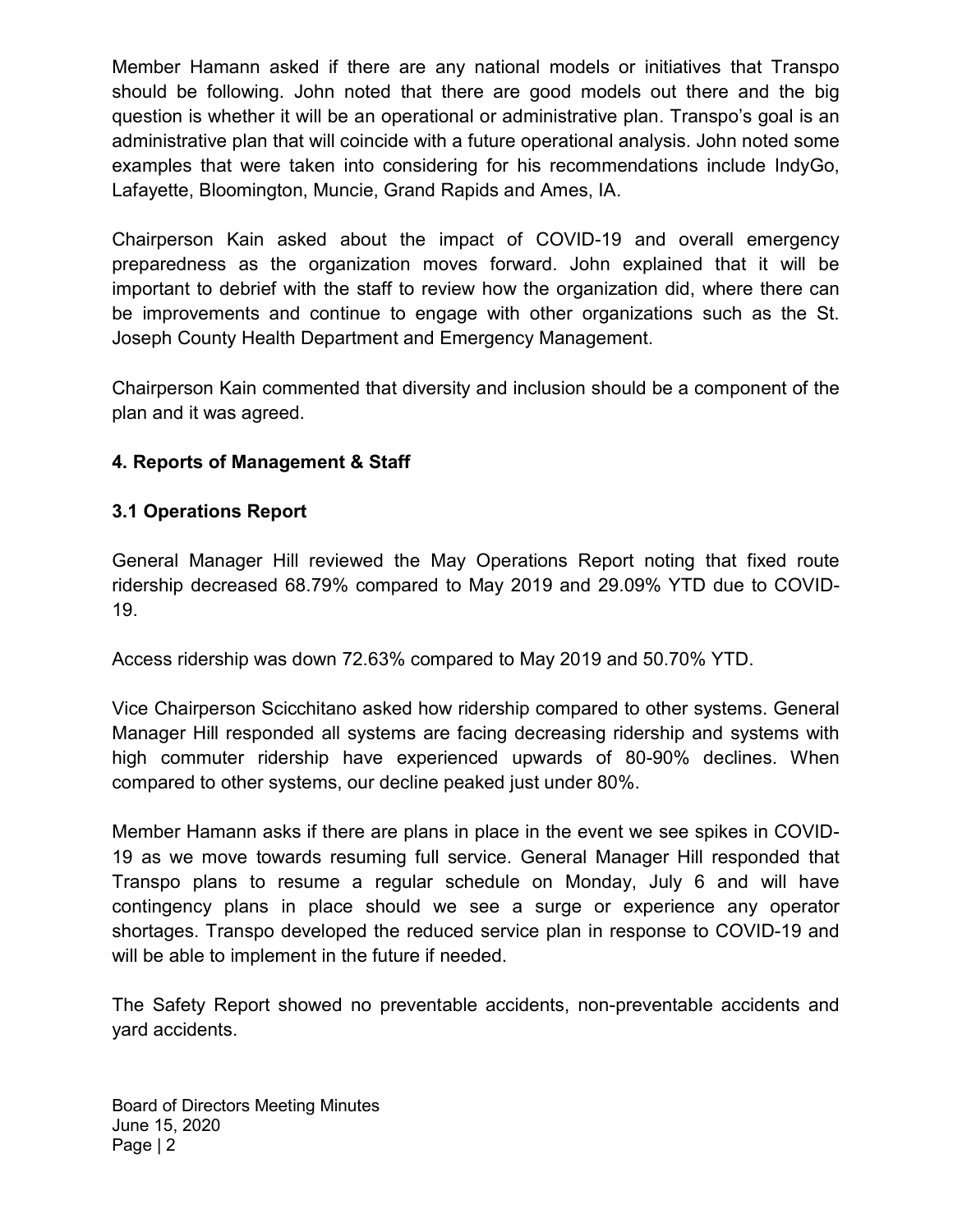Member Hamann asked if there are any national models or initiatives that Transpo should be following. John noted that there are good models out there and the big question is whether it will be an operational or administrative plan. Transpo's goal is an administrative plan that will coincide with a future operational analysis. John noted some examples that were taken into considering for his recommendations include IndyGo, Lafayette, Bloomington, Muncie, Grand Rapids and Ames, IA.

Chairperson Kain asked about the impact of COVID-19 and overall emergency preparedness as the organization moves forward. John explained that it will be important to debrief with the staff to review how the organization did, where there can be improvements and continue to engage with other organizations such as the St. Joseph County Health Department and Emergency Management.

Chairperson Kain commented that diversity and inclusion should be a component of the plan and it was agreed.

# 4. Reports of Management & Staff

# 3.1 Operations Report

General Manager Hill reviewed the May Operations Report noting that fixed route ridership decreased 68.79% compared to May 2019 and 29.09% YTD due to COVID-19.

Access ridership was down 72.63% compared to May 2019 and 50.70% YTD.

Vice Chairperson Scicchitano asked how ridership compared to other systems. General Manager Hill responded all systems are facing decreasing ridership and systems with high commuter ridership have experienced upwards of 80-90% declines. When compared to other systems, our decline peaked just under 80%.

Member Hamann asks if there are plans in place in the event we see spikes in COVID-19 as we move towards resuming full service. General Manager Hill responded that Transpo plans to resume a regular schedule on Monday, July 6 and will have contingency plans in place should we see a surge or experience any operator shortages. Transpo developed the reduced service plan in response to COVID-19 and will be able to implement in the future if needed.

The Safety Report showed no preventable accidents, non-preventable accidents and yard accidents.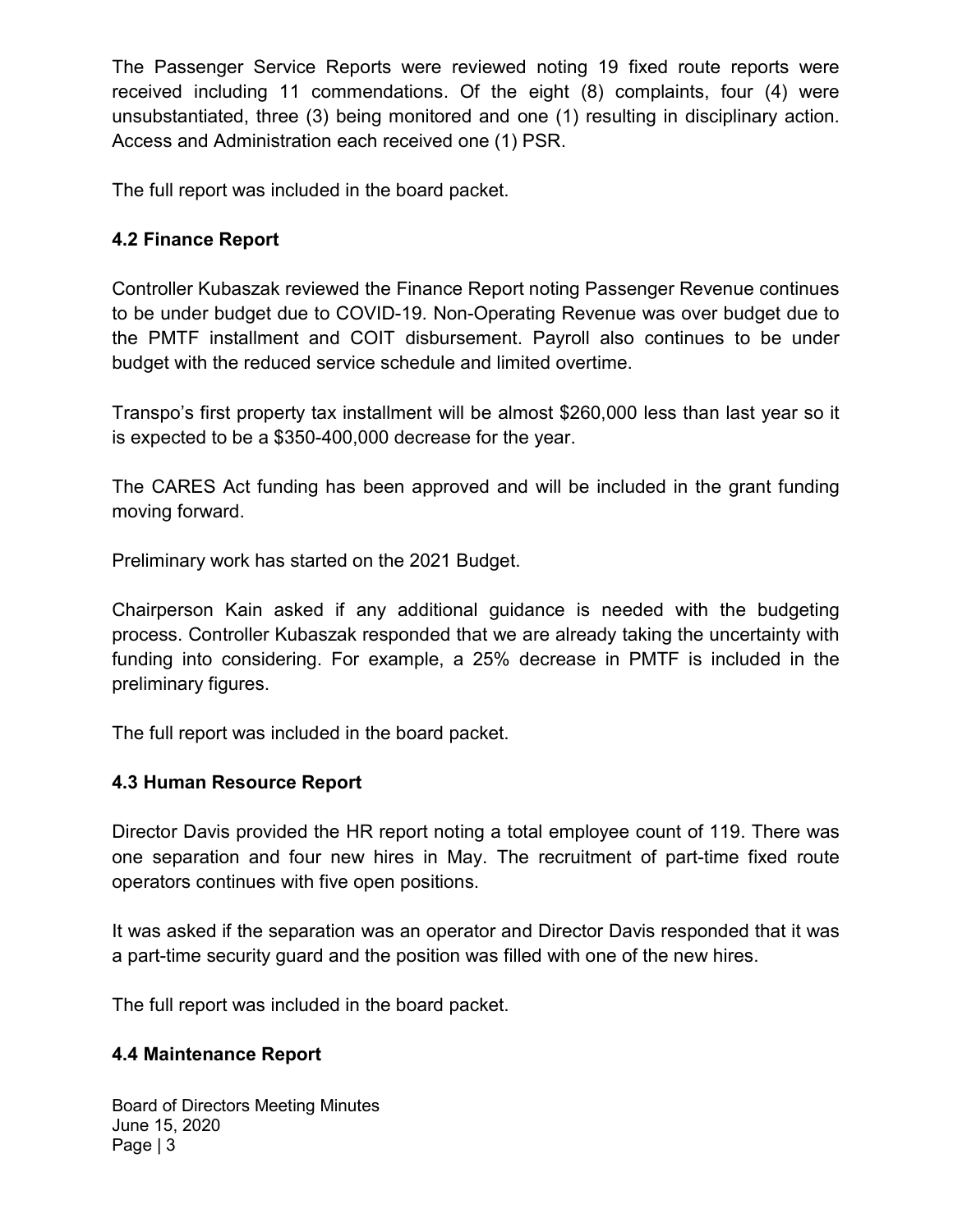The Passenger Service Reports were reviewed noting 19 fixed route reports were received including 11 commendations. Of the eight (8) complaints, four (4) were unsubstantiated, three (3) being monitored and one (1) resulting in disciplinary action. Access and Administration each received one (1) PSR.

The full report was included in the board packet.

# 4.2 Finance Report

Controller Kubaszak reviewed the Finance Report noting Passenger Revenue continues to be under budget due to COVID-19. Non-Operating Revenue was over budget due to the PMTF installment and COIT disbursement. Payroll also continues to be under budget with the reduced service schedule and limited overtime.

Transpo's first property tax installment will be almost \$260,000 less than last year so it is expected to be a \$350-400,000 decrease for the year.

The CARES Act funding has been approved and will be included in the grant funding moving forward.

Preliminary work has started on the 2021 Budget.

Chairperson Kain asked if any additional guidance is needed with the budgeting process. Controller Kubaszak responded that we are already taking the uncertainty with funding into considering. For example, a 25% decrease in PMTF is included in the preliminary figures.

The full report was included in the board packet.

# 4.3 Human Resource Report

Director Davis provided the HR report noting a total employee count of 119. There was one separation and four new hires in May. The recruitment of part-time fixed route operators continues with five open positions.

It was asked if the separation was an operator and Director Davis responded that it was a part-time security guard and the position was filled with one of the new hires.

The full report was included in the board packet.

### 4.4 Maintenance Report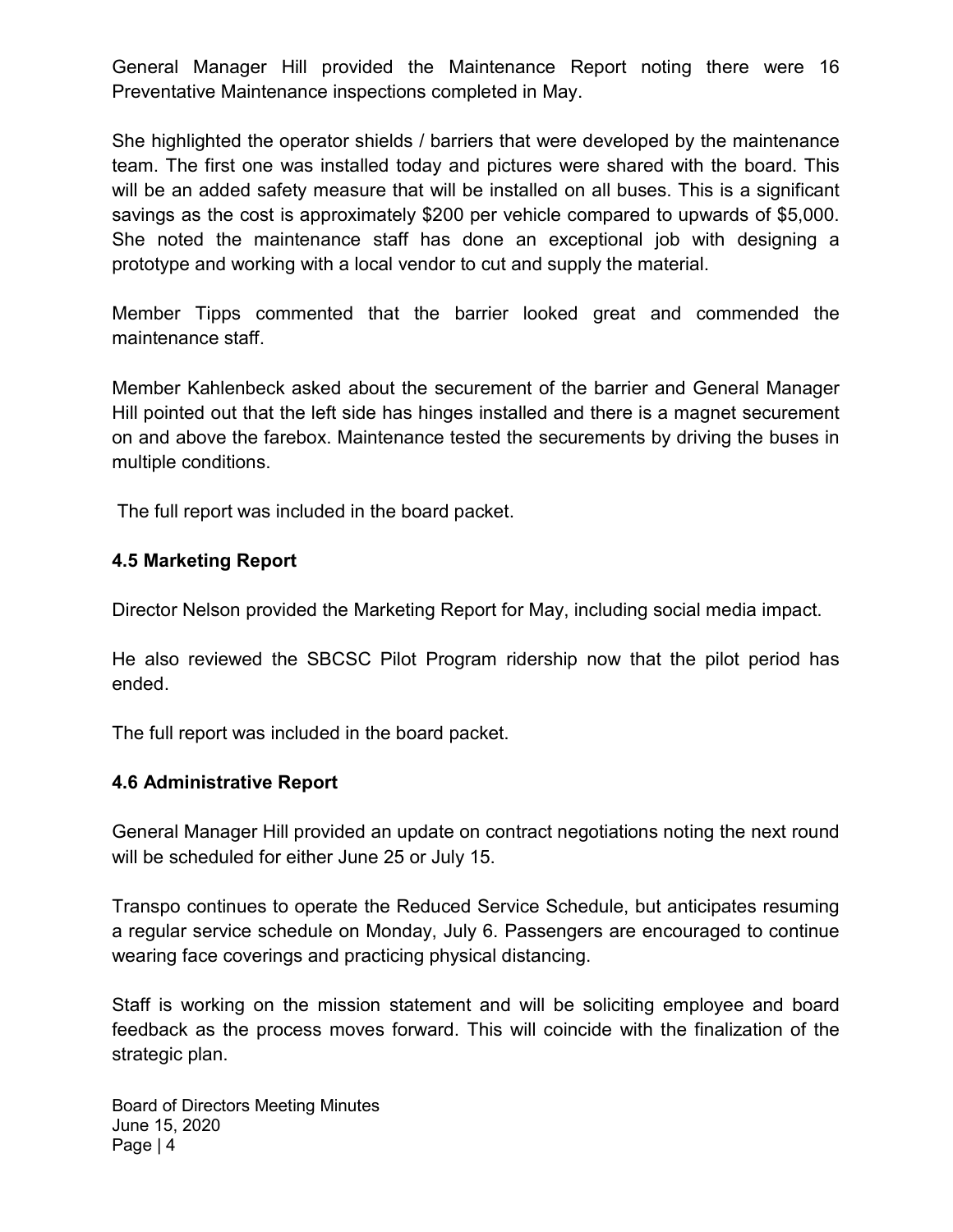General Manager Hill provided the Maintenance Report noting there were 16 Preventative Maintenance inspections completed in May.

She highlighted the operator shields / barriers that were developed by the maintenance team. The first one was installed today and pictures were shared with the board. This will be an added safety measure that will be installed on all buses. This is a significant savings as the cost is approximately \$200 per vehicle compared to upwards of \$5,000. She noted the maintenance staff has done an exceptional job with designing a prototype and working with a local vendor to cut and supply the material.

Member Tipps commented that the barrier looked great and commended the maintenance staff.

Member Kahlenbeck asked about the securement of the barrier and General Manager Hill pointed out that the left side has hinges installed and there is a magnet securement on and above the farebox. Maintenance tested the securements by driving the buses in multiple conditions.

The full report was included in the board packet.

# 4.5 Marketing Report

Director Nelson provided the Marketing Report for May, including social media impact.

He also reviewed the SBCSC Pilot Program ridership now that the pilot period has ended.

The full report was included in the board packet.

# 4.6 Administrative Report

General Manager Hill provided an update on contract negotiations noting the next round will be scheduled for either June 25 or July 15.

Transpo continues to operate the Reduced Service Schedule, but anticipates resuming a regular service schedule on Monday, July 6. Passengers are encouraged to continue wearing face coverings and practicing physical distancing.

Staff is working on the mission statement and will be soliciting employee and board feedback as the process moves forward. This will coincide with the finalization of the strategic plan.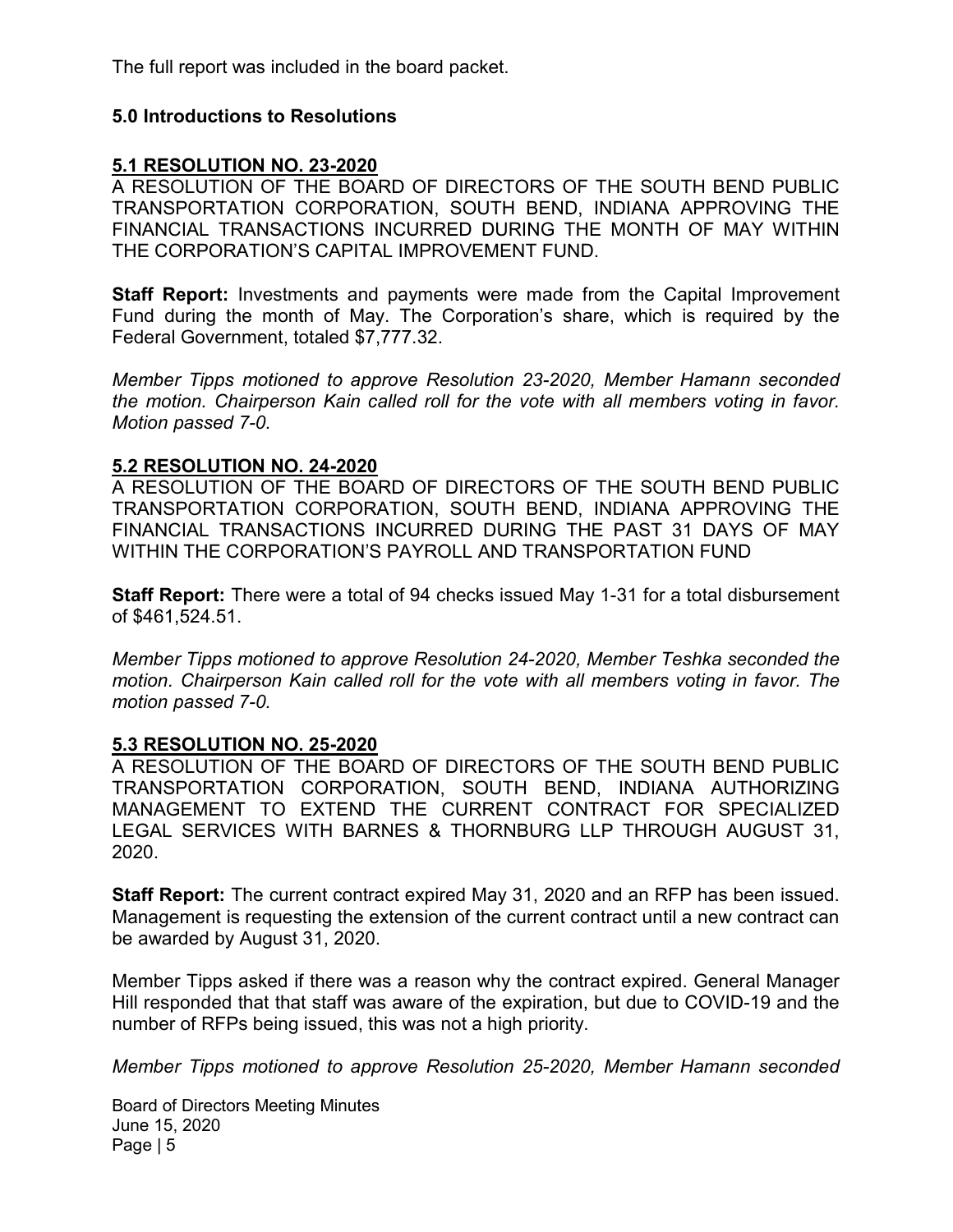The full report was included in the board packet.

### 5.0 Introductions to Resolutions

### 5.1 RESOLUTION NO. 23-2020

A RESOLUTION OF THE BOARD OF DIRECTORS OF THE SOUTH BEND PUBLIC TRANSPORTATION CORPORATION, SOUTH BEND, INDIANA APPROVING THE FINANCIAL TRANSACTIONS INCURRED DURING THE MONTH OF MAY WITHIN THE CORPORATION'S CAPITAL IMPROVEMENT FUND.

**Staff Report:** Investments and payments were made from the Capital Improvement Fund during the month of May. The Corporation's share, which is required by the Federal Government, totaled \$7,777.32.

Member Tipps motioned to approve Resolution 23-2020, Member Hamann seconded the motion. Chairperson Kain called roll for the vote with all members voting in favor. Motion passed 7-0.

### 5.2 RESOLUTION NO. 24-2020

A RESOLUTION OF THE BOARD OF DIRECTORS OF THE SOUTH BEND PUBLIC TRANSPORTATION CORPORATION, SOUTH BEND, INDIANA APPROVING THE FINANCIAL TRANSACTIONS INCURRED DURING THE PAST 31 DAYS OF MAY WITHIN THE CORPORATION'S PAYROLL AND TRANSPORTATION FUND

Staff Report: There were a total of 94 checks issued May 1-31 for a total disbursement of \$461,524.51.

Member Tipps motioned to approve Resolution 24-2020, Member Teshka seconded the motion. Chairperson Kain called roll for the vote with all members voting in favor. The motion passed 7-0.

### 5.3 RESOLUTION NO. 25-2020

A RESOLUTION OF THE BOARD OF DIRECTORS OF THE SOUTH BEND PUBLIC TRANSPORTATION CORPORATION, SOUTH BEND, INDIANA AUTHORIZING MANAGEMENT TO EXTEND THE CURRENT CONTRACT FOR SPECIALIZED LEGAL SERVICES WITH BARNES & THORNBURG LLP THROUGH AUGUST 31, 2020.

Staff Report: The current contract expired May 31, 2020 and an RFP has been issued. Management is requesting the extension of the current contract until a new contract can be awarded by August 31, 2020.

Member Tipps asked if there was a reason why the contract expired. General Manager Hill responded that that staff was aware of the expiration, but due to COVID-19 and the number of RFPs being issued, this was not a high priority.

Member Tipps motioned to approve Resolution 25-2020, Member Hamann seconded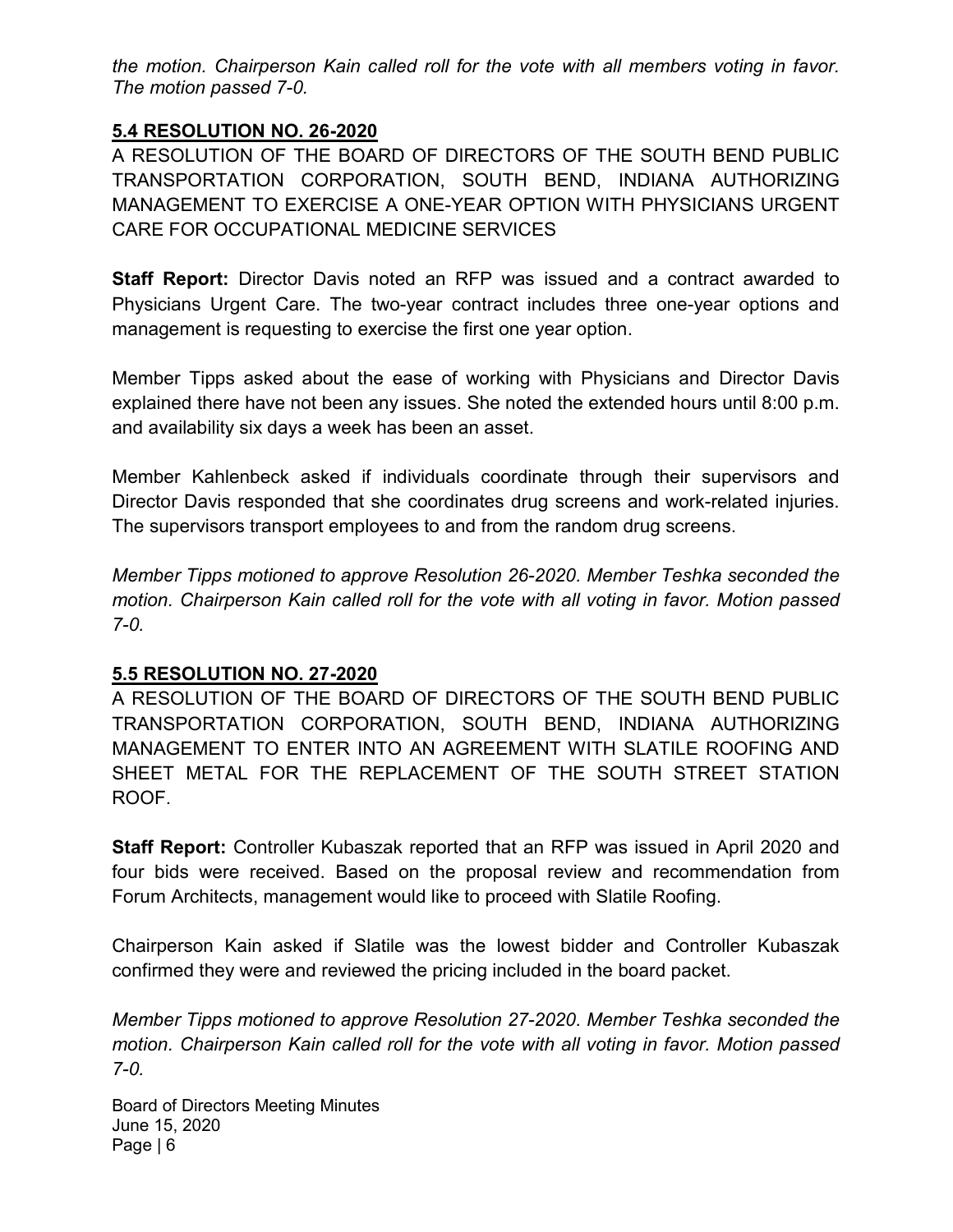the motion. Chairperson Kain called roll for the vote with all members voting in favor. The motion passed 7-0.

### 5.4 RESOLUTION NO. 26-2020

A RESOLUTION OF THE BOARD OF DIRECTORS OF THE SOUTH BEND PUBLIC TRANSPORTATION CORPORATION, SOUTH BEND, INDIANA AUTHORIZING MANAGEMENT TO EXERCISE A ONE-YEAR OPTION WITH PHYSICIANS URGENT CARE FOR OCCUPATIONAL MEDICINE SERVICES

**Staff Report:** Director Davis noted an RFP was issued and a contract awarded to Physicians Urgent Care. The two-year contract includes three one-year options and management is requesting to exercise the first one year option.

Member Tipps asked about the ease of working with Physicians and Director Davis explained there have not been any issues. She noted the extended hours until 8:00 p.m. and availability six days a week has been an asset.

Member Kahlenbeck asked if individuals coordinate through their supervisors and Director Davis responded that she coordinates drug screens and work-related injuries. The supervisors transport employees to and from the random drug screens.

Member Tipps motioned to approve Resolution 26-2020. Member Teshka seconded the motion. Chairperson Kain called roll for the vote with all voting in favor. Motion passed 7-0.

### 5.5 RESOLUTION NO. 27-2020

A RESOLUTION OF THE BOARD OF DIRECTORS OF THE SOUTH BEND PUBLIC TRANSPORTATION CORPORATION, SOUTH BEND, INDIANA AUTHORIZING MANAGEMENT TO ENTER INTO AN AGREEMENT WITH SLATILE ROOFING AND SHEET METAL FOR THE REPLACEMENT OF THE SOUTH STREET STATION ROOF.

Staff Report: Controller Kubaszak reported that an RFP was issued in April 2020 and four bids were received. Based on the proposal review and recommendation from Forum Architects, management would like to proceed with Slatile Roofing.

Chairperson Kain asked if Slatile was the lowest bidder and Controller Kubaszak confirmed they were and reviewed the pricing included in the board packet.

Member Tipps motioned to approve Resolution 27-2020. Member Teshka seconded the motion. Chairperson Kain called roll for the vote with all voting in favor. Motion passed 7-0.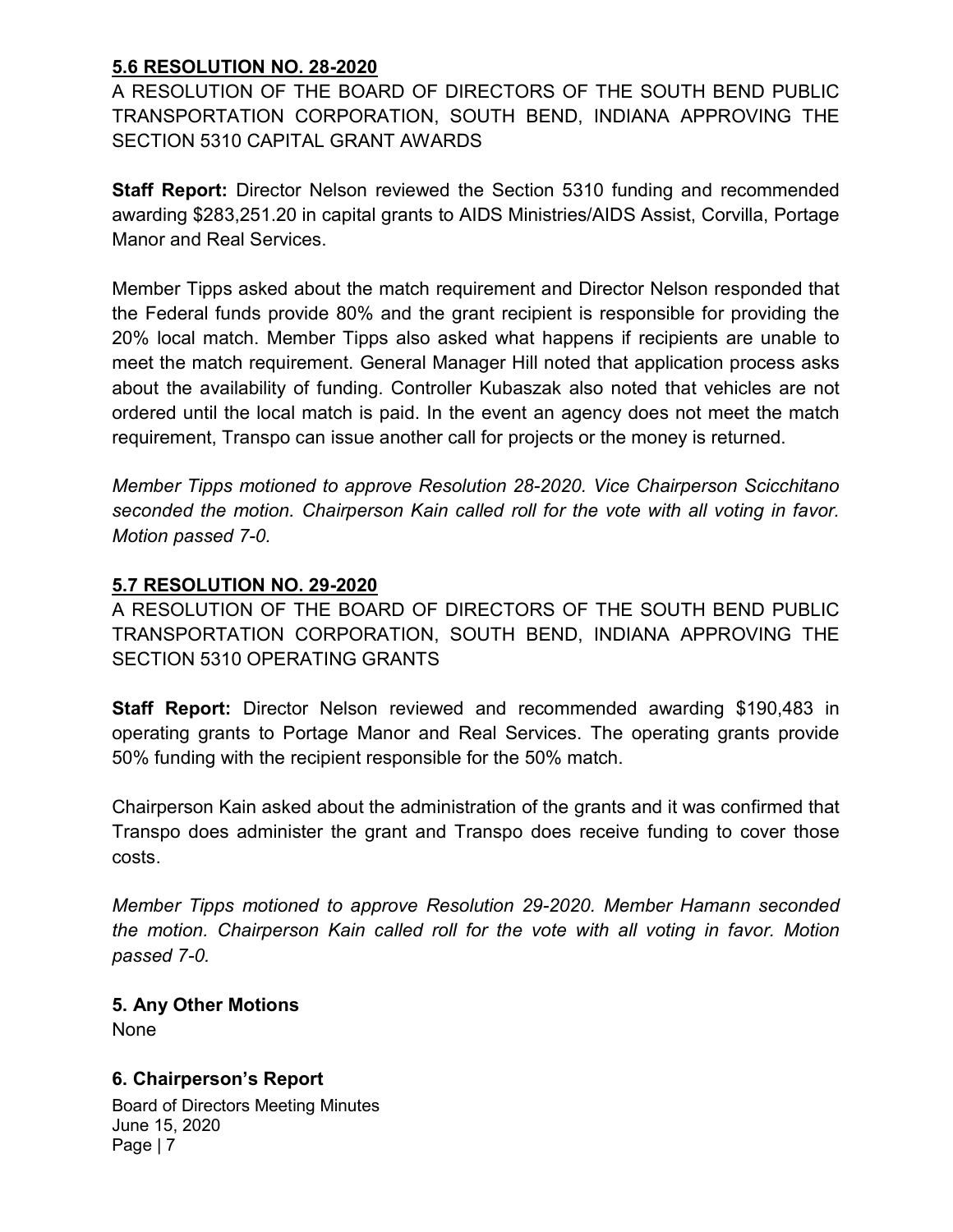### 5.6 RESOLUTION NO. 28-2020

A RESOLUTION OF THE BOARD OF DIRECTORS OF THE SOUTH BEND PUBLIC TRANSPORTATION CORPORATION, SOUTH BEND, INDIANA APPROVING THE SECTION 5310 CAPITAL GRANT AWARDS

Staff Report: Director Nelson reviewed the Section 5310 funding and recommended awarding \$283,251.20 in capital grants to AIDS Ministries/AIDS Assist, Corvilla, Portage Manor and Real Services.

Member Tipps asked about the match requirement and Director Nelson responded that the Federal funds provide 80% and the grant recipient is responsible for providing the 20% local match. Member Tipps also asked what happens if recipients are unable to meet the match requirement. General Manager Hill noted that application process asks about the availability of funding. Controller Kubaszak also noted that vehicles are not ordered until the local match is paid. In the event an agency does not meet the match requirement, Transpo can issue another call for projects or the money is returned.

Member Tipps motioned to approve Resolution 28-2020. Vice Chairperson Scicchitano seconded the motion. Chairperson Kain called roll for the vote with all voting in favor. Motion passed 7-0.

### 5.7 RESOLUTION NO. 29-2020

A RESOLUTION OF THE BOARD OF DIRECTORS OF THE SOUTH BEND PUBLIC TRANSPORTATION CORPORATION, SOUTH BEND, INDIANA APPROVING THE SECTION 5310 OPERATING GRANTS

Staff Report: Director Nelson reviewed and recommended awarding \$190,483 in operating grants to Portage Manor and Real Services. The operating grants provide 50% funding with the recipient responsible for the 50% match.

Chairperson Kain asked about the administration of the grants and it was confirmed that Transpo does administer the grant and Transpo does receive funding to cover those costs.

Member Tipps motioned to approve Resolution 29-2020. Member Hamann seconded the motion. Chairperson Kain called roll for the vote with all voting in favor. Motion passed 7-0.

5. Any Other Motions None

# 6. Chairperson's Report